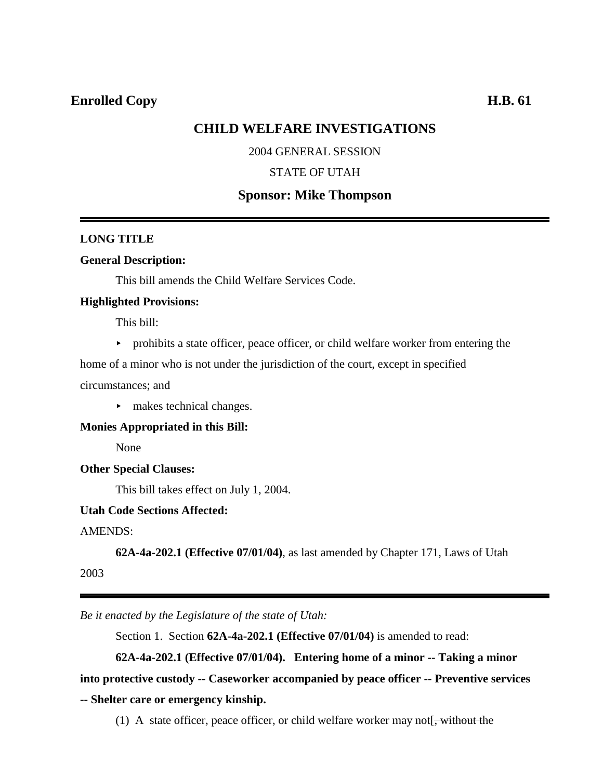# **CHILD WELFARE INVESTIGATIONS**

# 2004 GENERAL SESSION

# STATE OF UTAH

# **Sponsor: Mike Thompson**

# **LONG TITLE**

#### **General Description:**

This bill amends the Child Welfare Services Code.

#### **Highlighted Provisions:**

This bill:

 $\triangleright$  prohibits a state officer, peace officer, or child welfare worker from entering the

home of a minor who is not under the jurisdiction of the court, except in specified circumstances; and

 $\blacktriangleright$  makes technical changes.

**Monies Appropriated in this Bill:**

None

### **Other Special Clauses:**

This bill takes effect on July 1, 2004.

# **Utah Code Sections Affected:**

AMENDS:

**62A-4a-202.1 (Effective 07/01/04)**, as last amended by Chapter 171, Laws of Utah

2003

*Be it enacted by the Legislature of the state of Utah:*

Section 1. Section **62A-4a-202.1 (Effective 07/01/04)** is amended to read:

**62A-4a-202.1 (Effective 07/01/04). Entering home of a minor -- Taking a minor**

**into protective custody -- Caseworker accompanied by peace officer -- Preventive services -- Shelter care or emergency kinship.**

(1) A state officer, peace officer, or child welfare worker may not  $\frac{1}{2}$ , without the